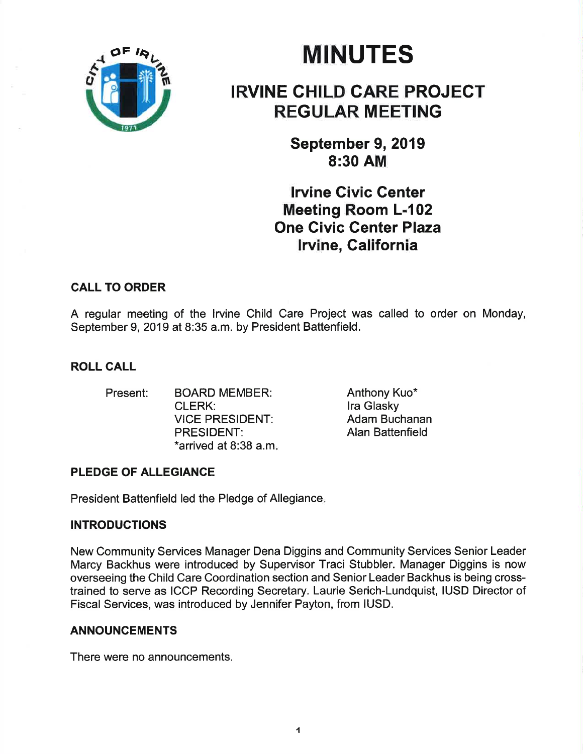

# **MINUTES**

## IRVINE GHILD CARE PROJECT REGULAR MEETING

September 9, 2019 8:30 AM

lrvine Givic Center Meeting Room L-102 One Civic Genter Plaza lrvine, Galifornia

### CALL TO ORDER

A regular meeting of the lrvine Child Care Project was called to order on Monday, September 9, 2019 at 8:35 a.m. by President Battenfield.

### ROLL CALL

Present: BOARD MEMBER: Anthony Kuo\* CLERK: VICE PRESIDENT: PRESIDENT: \*arrived at 8:38 a.m

lra Glasky Adam Buchanan Alan Battenfield

## PLEDGE OF ALLEGIANCE

President Battenfield led the Pledge of Allegiance

### **INTRODUCTIONS**

New Community Services Manager Dena Diggins and Community Services Senior Leader Marcy Backhus were introduced by Supervisor Traci Stubbler. Manager Diggins is now overseeing the Child Care Coordination section and Senior Leader Backhus is being crosstrained to serve as ICCP Recording Secretary. Laurie Serich-Lundquist, IUSD Director of Fiscal Services, was introduced by Jennifer Payton, from IUSD.

#### ANNOUNCEMENTS

There were no announcements.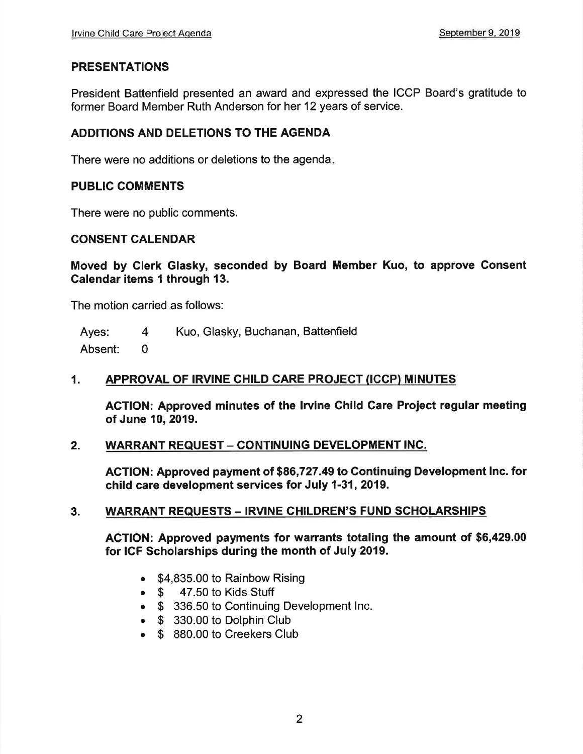#### PRESENTATIONS

President Battenfield presented an award and expressed the ICCP Board's gratitude to former Board Member Ruth Anderson for her 12 years of service.

#### ADDITIONS AND DELETIONS TO THE AGENDA

There were no additions or deletions to the agenda

#### PUBLIC COMMENTS

There were no public comments.

#### CONSENT CALENDAR

Moved by Glerk Glasky, seconded by Board Member Kuo, to approve Gonsent Galendar items 1 through 13.

The motion carried as follows:

Ayes: Absent: Kuo, Glasky, Buchanan, Battenfield 4 0

#### 1. APPROVAL OF IRVINE CHILD CARE PROJECT (ICCP) MINUTES

ACTION: Approved minutes of the Irvine Child Care Project regular meeting of June 10, 2019.

#### 2. WARRANT REQUEST - CONTINUING DEVELOPMENT INC.

ACTION: Approved payment of \$86,727.49 to Gontinuing Development lnc. for child care development services for July 1-31,2019.

#### 3. WARRANT REQUESTS – IRVINE CHILDREN'S FUND SCHOLARSHIPS

ACTION: Approved payments for warrants totaling the amount of \$6,429.00 for ICF Scholarships during the month of July 2019.

- \$4,835.00 to Rainbow Rising
- $\bullet$   $\$$  47.50 to Kids Stuff
- \$ 336.50 to Continuing Development Inc.
- \$ 330.00 to Dolphin Club
- \$ 880.00 to Creekers Club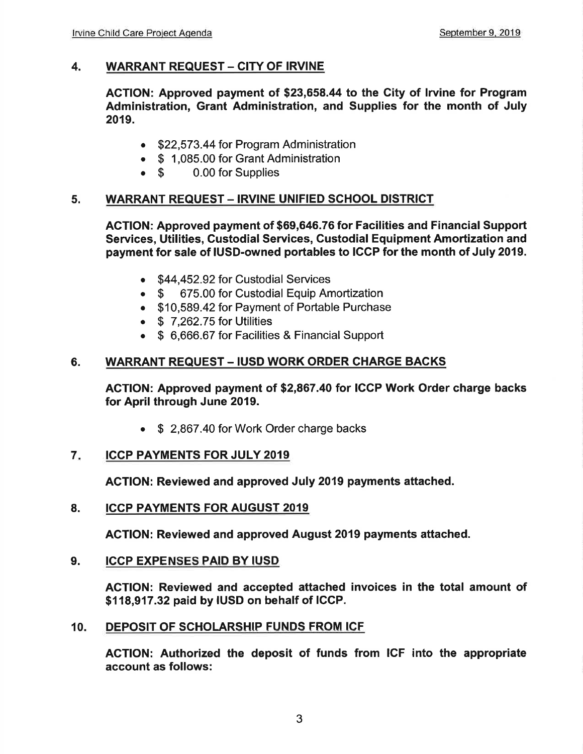### 4. WARRANT REQUEST - CITY OF IRVINE

AGTION: Approved payment of \$23,658.44 to the City of lrvine for Program Administration, Grant Administration, and Supplies for the month of July 2019.

- \$22,573.44 for Program Administration
- \$ 1,085.00 for Grant Administration<br>• \$ 0.00 for Supplies
- 0.00 for Supplies

#### 5. WARRANT REQUEST - IRVINE UNIFIED SCHOOL DISTRICT

AGTION: Approved payment of \$69,646.76 for Facilities and Financial Support Services, Utilities, Custodial Services, Custodial Equipment Amortization and payment for sale of IUSD-owned portables to ICCP for the month of July 2019.

- \$44,452.92 for Custodial Services
- \$ 675.00 for Custodial Equip Amortization
- . \$10,589.42 for Payment of Portable Purchase
- $\bullet$  \$ 7,262.75 for Utilities
- . \$ 6,666.67 for Facilities & Financial Support

#### 6. WARRANT REQUEST - IUSD WORK ORDER CHARGE BACKS

AGTION: Approved payment of \$2,867.40 for ICCP Work Order charge backs for April through June 2019.

• \$ 2,867.40 for Work Order charge backs

#### ICCP PAYMENTS FOR JULY 2019 7

AGTION: Reviewed and approved July 2019 payments attached.

8. ICCP PAYMENTS FOR AUGUST 2019

ACTION: Reviewed and approved August 2019 payments attached.

#### 9. ICCP EXPENSES PAID BY IUSD

AGTION: Reviewed and accepted attached invoices in the total amount of \$118,917.32 paid by IUSD on behalf of IGGP.

10. DEPOSIT OF SCHOLARSHIP FUNDS FROM ICF

AGTION: Authorized the deposit of funds from ICF into the appropriate account as follows: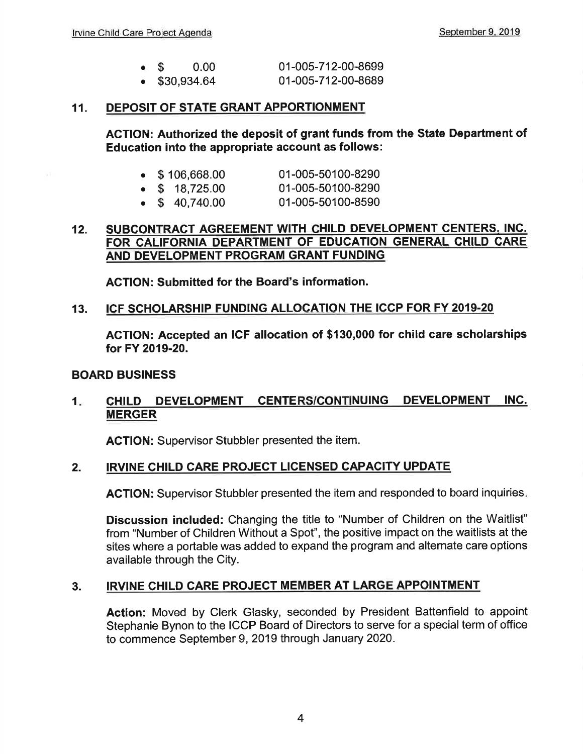| $\bullet$ S           | 0.00 | 01-005-712-00-8699 |
|-----------------------|------|--------------------|
| $\bullet$ \$30,934.64 |      | 01-005-712-00-8689 |

#### 11. DEPOSIT OF STATE GRANT APPORTIONMENT

ACTION: Authorized the deposit of grant funds from the State Department of Education into the appropriate account as follows:

|  | $\bullet$ \$106,668.00 | 01-005-50100-8290 |
|--|------------------------|-------------------|
|  | $\bullet$ \$ 18,725.00 | 01-005-50100-8290 |

 $\bullet$  \$ 40,740.00 01-005-50100-8590

#### 12. SUBCONTRACT AGREEMENT WITH CHILD DEVELOPMENT CENTERS, INC. FOR CALIFORNIA DEPARTMENT OF EDUCATION GENERAL CHILD CARE AND DEVELOPMENT PROGRAM GRANT FUNDING

ACTION: Submitted for the Board's information.

#### 13. ICF SCHOLARSHIP FUNDING ALLOCATION THE ICCP FOR FY 2019.20

AGTION: Accepted an IGF allocation of \$130,000 for child care scholarships for FY 2019-20.

#### BOARD BUSINESS

#### 1. CHILD DEVELOPMENT CENTERS/CONTINUING DEVELOPMENT INC. MERGER

ACTION: Supervisor Stubbler presented the item.

#### 2. IRVINE CHILD CARE PROJECT LICENSED CAPACITY UPDATE

ACTION: Supervisor Stubbler presented the item and responded to board inquiries

Discussion included: Changing the title to "Number of Children on the Waitlist" from "Number of Children Without a Spot", the positive impact on the waitlists at the sites where a portable was added to expand the program and alternate care options available through the City.

#### 3. IRVINE CHILD CARE PROJECT MEMBER AT LARGE APPOINTMENT

Action: Moved by Clerk Glasky, seconded by President Battenfield to appoint Stephanie Bynon to the ICCP Board of Directors to serve for a special term of office to commence September 9,2019 through January 2020.